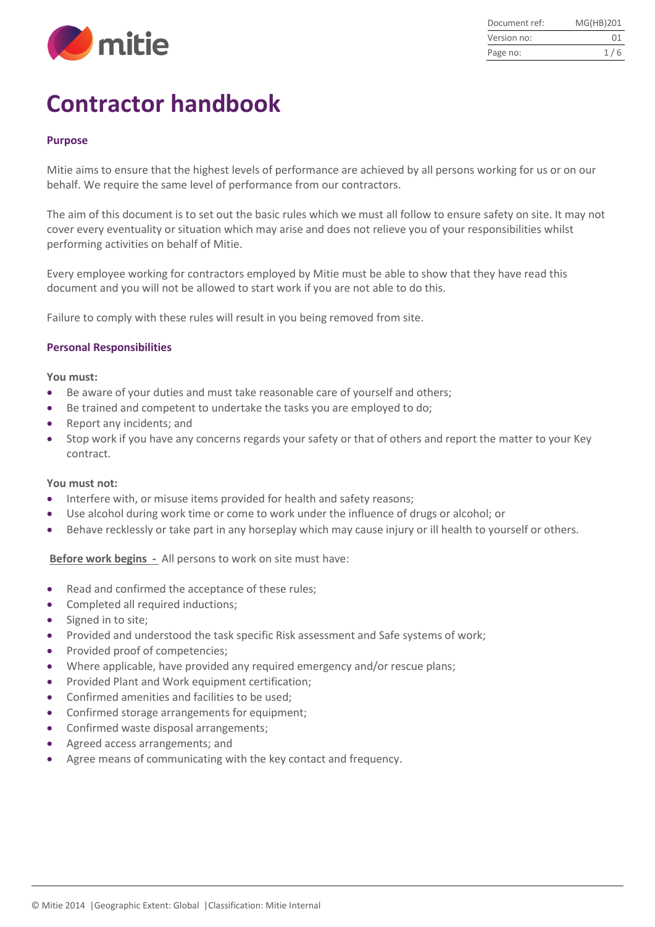

| Document ref: | MG(HB)201 |
|---------------|-----------|
| Version no:   | 01        |
| Page no:      | 1/6       |

# **Contractor handbook**

## **Purpose**

Mitie aims to ensure that the highest levels of performance are achieved by all persons working for us or on our behalf. We require the same level of performance from our contractors.

The aim of this document is to set out the basic rules which we must all follow to ensure safety on site. It may not cover every eventuality or situation which may arise and does not relieve you of your responsibilities whilst performing activities on behalf of Mitie.

Every employee working for contractors employed by Mitie must be able to show that they have read this document and you will not be allowed to start work if you are not able to do this.

Failure to comply with these rules will result in you being removed from site.

## **Personal Responsibilities**

#### **You must:**

- Be aware of your duties and must take reasonable care of yourself and others;
- Be trained and competent to undertake the tasks you are employed to do;
- Report any incidents; and
- Stop work if you have any concerns regards your safety or that of others and report the matter to your Key contract.

## **You must not:**

- Interfere with, or misuse items provided for health and safety reasons;
- Use alcohol during work time or come to work under the influence of drugs or alcohol; or
- Behave recklessly or take part in any horseplay which may cause injury or ill health to yourself or others.

**Before work begins -** All persons to work on site must have:

- Read and confirmed the acceptance of these rules;
- Completed all required inductions;
- Signed in to site;
- Provided and understood the task specific Risk assessment and Safe systems of work;
- Provided proof of competencies:
- Where applicable, have provided any required emergency and/or rescue plans;
- Provided Plant and Work equipment certification:
- Confirmed amenities and facilities to be used:
- Confirmed storage arrangements for equipment;
- Confirmed waste disposal arrangements;
- Agreed access arrangements; and
- Agree means of communicating with the key contact and frequency.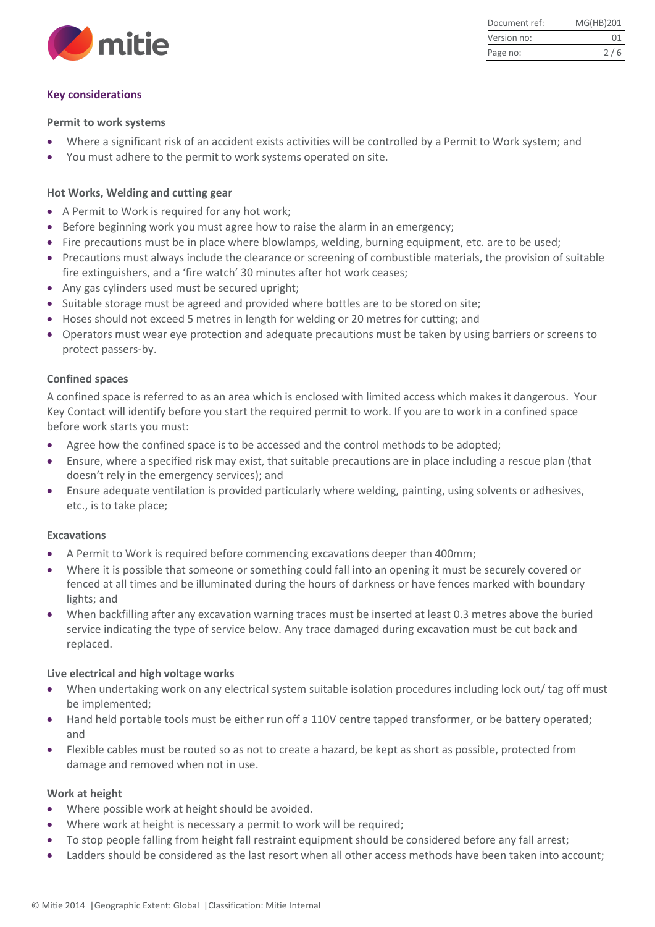

Document ref: MG(HB)201 Version no: 01 Page no: 2/6

# **Key considerations**

#### **Permit to work systems**

- Where a significant risk of an accident exists activities will be controlled by a Permit to Work system; and
- You must adhere to the permit to work systems operated on site.

# **Hot Works, Welding and cutting gear**

- A Permit to Work is required for any hot work;
- Before beginning work you must agree how to raise the alarm in an emergency;
- Fire precautions must be in place where blowlamps, welding, burning equipment, etc. are to be used;
- Precautions must always include the clearance or screening of combustible materials, the provision of suitable fire extinguishers, and a 'fire watch' 30 minutes after hot work ceases;
- Any gas cylinders used must be secured upright;
- Suitable storage must be agreed and provided where bottles are to be stored on site;
- Hoses should not exceed 5 metres in length for welding or 20 metres for cutting; and
- Operators must wear eye protection and adequate precautions must be taken by using barriers or screens to protect passers-by.

## **Confined spaces**

A confined space is referred to as an area which is enclosed with limited access which makes it dangerous. Your Key Contact will identify before you start the required permit to work. If you are to work in a confined space before work starts you must:

- Agree how the confined space is to be accessed and the control methods to be adopted;
- Ensure, where a specified risk may exist, that suitable precautions are in place including a rescue plan (that doesn't rely in the emergency services); and
- Ensure adequate ventilation is provided particularly where welding, painting, using solvents or adhesives, etc., is to take place;

## **Excavations**

- A Permit to Work is required before commencing excavations deeper than 400mm;
- Where it is possible that someone or something could fall into an opening it must be securely covered or fenced at all times and be illuminated during the hours of darkness or have fences marked with boundary lights; and
- When backfilling after any excavation warning traces must be inserted at least 0.3 metres above the buried service indicating the type of service below. Any trace damaged during excavation must be cut back and replaced.

## **Live electrical and high voltage works**

- When undertaking work on any electrical system suitable isolation procedures including lock out/ tag off must be implemented;
- Hand held portable tools must be either run off a 110V centre tapped transformer, or be battery operated; and
- Flexible cables must be routed so as not to create a hazard, be kept as short as possible, protected from damage and removed when not in use.

## **Work at height**

- Where possible work at height should be avoided.
- Where work at height is necessary a permit to work will be required;
- To stop people falling from height fall restraint equipment should be considered before any fall arrest;
- Ladders should be considered as the last resort when all other access methods have been taken into account;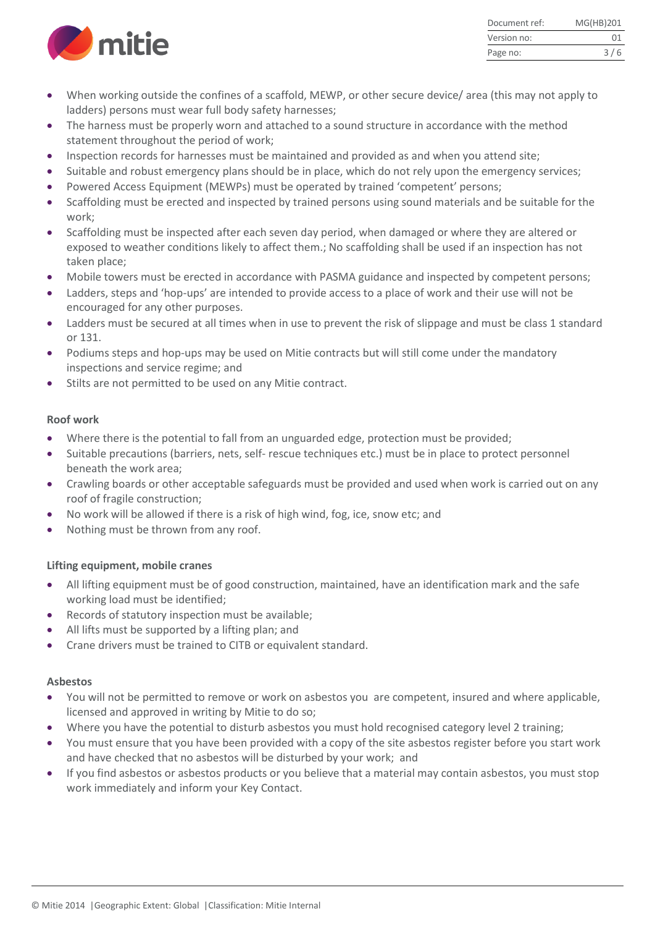

| Document ref: | MG(HB)201 |
|---------------|-----------|
| Version no:   | 01        |
| Page no:      | 3/6       |

- When working outside the confines of a scaffold, MEWP, or other secure device/ area (this may not apply to ladders) persons must wear full body safety harnesses;
- The harness must be properly worn and attached to a sound structure in accordance with the method statement throughout the period of work;
- Inspection records for harnesses must be maintained and provided as and when you attend site;
- Suitable and robust emergency plans should be in place, which do not rely upon the emergency services;
- Powered Access Equipment (MEWPs) must be operated by trained 'competent' persons;
- Scaffolding must be erected and inspected by trained persons using sound materials and be suitable for the work;
- Scaffolding must be inspected after each seven day period, when damaged or where they are altered or exposed to weather conditions likely to affect them.; No scaffolding shall be used if an inspection has not taken place;
- Mobile towers must be erected in accordance with PASMA guidance and inspected by competent persons;
- Ladders, steps and 'hop-ups' are intended to provide access to a place of work and their use will not be encouraged for any other purposes.
- Ladders must be secured at all times when in use to prevent the risk of slippage and must be class 1 standard or 131.
- Podiums steps and hop-ups may be used on Mitie contracts but will still come under the mandatory inspections and service regime; and
- Stilts are not permitted to be used on any Mitie contract.

## **Roof work**

- Where there is the potential to fall from an unguarded edge, protection must be provided;
- Suitable precautions (barriers, nets, self- rescue techniques etc.) must be in place to protect personnel beneath the work area;
- Crawling boards or other acceptable safeguards must be provided and used when work is carried out on any roof of fragile construction;
- No work will be allowed if there is a risk of high wind, fog, ice, snow etc; and
- Nothing must be thrown from any roof.

## **Lifting equipment, mobile cranes**

- All lifting equipment must be of good construction, maintained, have an identification mark and the safe working load must be identified;
- Records of statutory inspection must be available;
- All lifts must be supported by a lifting plan; and
- Crane drivers must be trained to CITB or equivalent standard.

## **Asbestos**

- You will not be permitted to remove or work on asbestos you are competent, insured and where applicable, licensed and approved in writing by Mitie to do so;
- Where you have the potential to disturb asbestos you must hold recognised category level 2 training;
- You must ensure that you have been provided with a copy of the site asbestos register before you start work and have checked that no asbestos will be disturbed by your work; and
- If you find asbestos or asbestos products or you believe that a material may contain asbestos, you must stop work immediately and inform your Key Contact.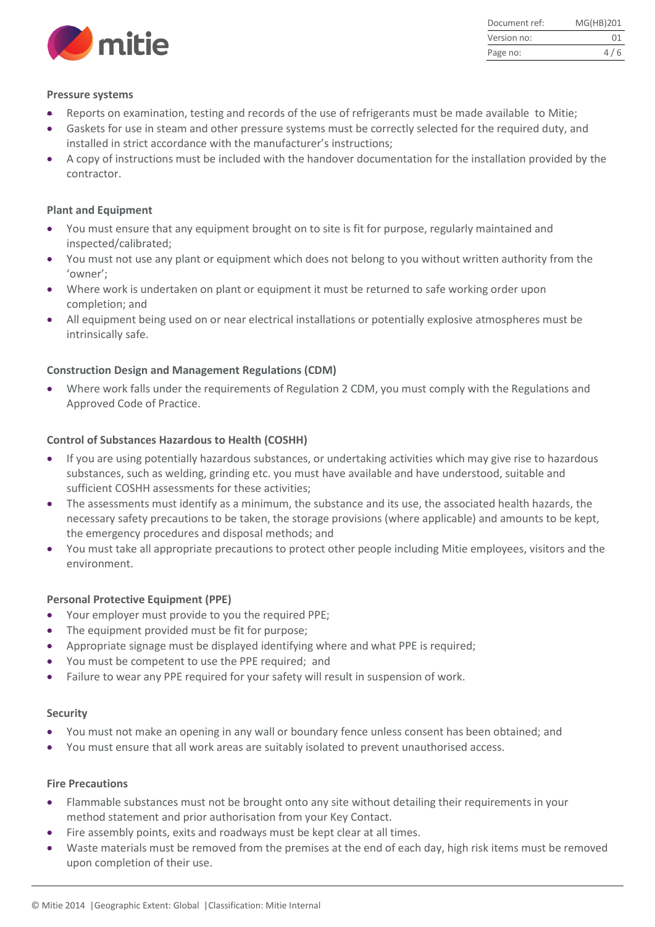

| Document ref: | MG(HB)201 |
|---------------|-----------|
| Version no:   | 01        |
| Page no:      | 4/6       |

#### **Pressure systems**

- Reports on examination, testing and records of the use of refrigerants must be made available to Mitie;
- Gaskets for use in steam and other pressure systems must be correctly selected for the required duty, and installed in strict accordance with the manufacturer's instructions;
- A copy of instructions must be included with the handover documentation for the installation provided by the contractor.

#### **Plant and Equipment**

- You must ensure that any equipment brought on to site is fit for purpose, regularly maintained and inspected/calibrated;
- You must not use any plant or equipment which does not belong to you without written authority from the 'owner';
- Where work is undertaken on plant or equipment it must be returned to safe working order upon completion; and
- All equipment being used on or near electrical installations or potentially explosive atmospheres must be intrinsically safe.

#### **Construction Design and Management Regulations (CDM)**

 Where work falls under the requirements of Regulation 2 CDM, you must comply with the Regulations and Approved Code of Practice.

#### **Control of Substances Hazardous to Health (COSHH)**

- If you are using potentially hazardous substances, or undertaking activities which may give rise to hazardous substances, such as welding, grinding etc. you must have available and have understood, suitable and sufficient COSHH assessments for these activities;
- The assessments must identify as a minimum, the substance and its use, the associated health hazards, the necessary safety precautions to be taken, the storage provisions (where applicable) and amounts to be kept, the emergency procedures and disposal methods; and
- You must take all appropriate precautions to protect other people including Mitie employees, visitors and the environment.

#### **Personal Protective Equipment (PPE)**

- Your employer must provide to you the required PPE;
- The equipment provided must be fit for purpose;
- Appropriate signage must be displayed identifying where and what PPE is required;
- You must be competent to use the PPE required; and
- Failure to wear any PPE required for your safety will result in suspension of work.

#### **Security**

- You must not make an opening in any wall or boundary fence unless consent has been obtained; and
- You must ensure that all work areas are suitably isolated to prevent unauthorised access.

#### **Fire Precautions**

- Flammable substances must not be brought onto any site without detailing their requirements in your method statement and prior authorisation from your Key Contact.
- Fire assembly points, exits and roadways must be kept clear at all times.
- Waste materials must be removed from the premises at the end of each day, high risk items must be removed upon completion of their use.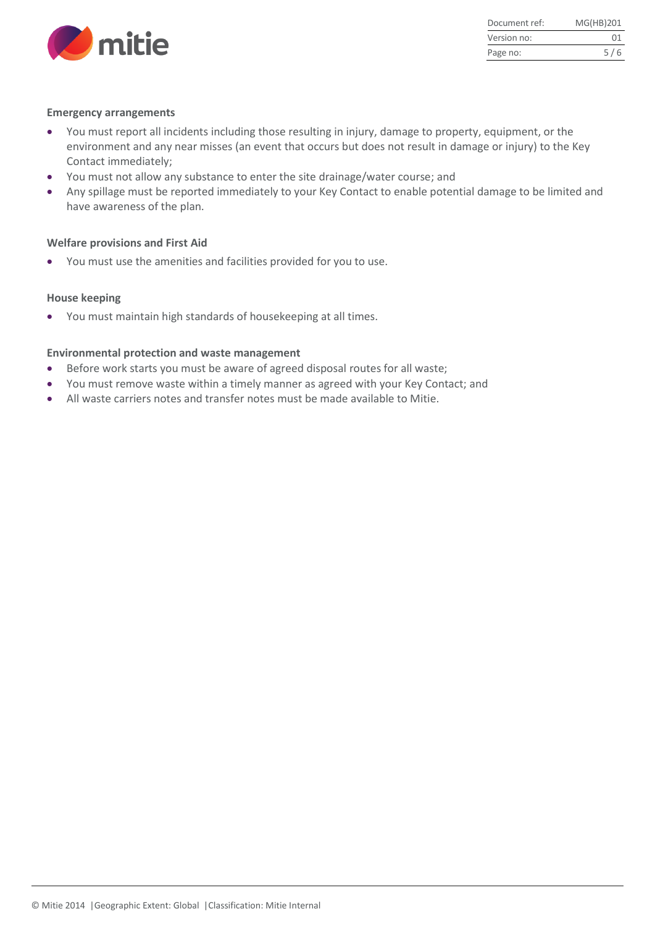

| Document ref: | MG(HB)201 |
|---------------|-----------|
| Version no:   | 01        |
| Page no:      | 5/6       |

## **Emergency arrangements**

- You must report all incidents including those resulting in injury, damage to property, equipment, or the environment and any near misses (an event that occurs but does not result in damage or injury) to the Key Contact immediately;
- You must not allow any substance to enter the site drainage/water course; and
- Any spillage must be reported immediately to your Key Contact to enable potential damage to be limited and have awareness of the plan.

#### **Welfare provisions and First Aid**

You must use the amenities and facilities provided for you to use.

## **House keeping**

You must maintain high standards of housekeeping at all times.

#### **Environmental protection and waste management**

- Before work starts you must be aware of agreed disposal routes for all waste;
- You must remove waste within a timely manner as agreed with your Key Contact; and
- All waste carriers notes and transfer notes must be made available to Mitie.